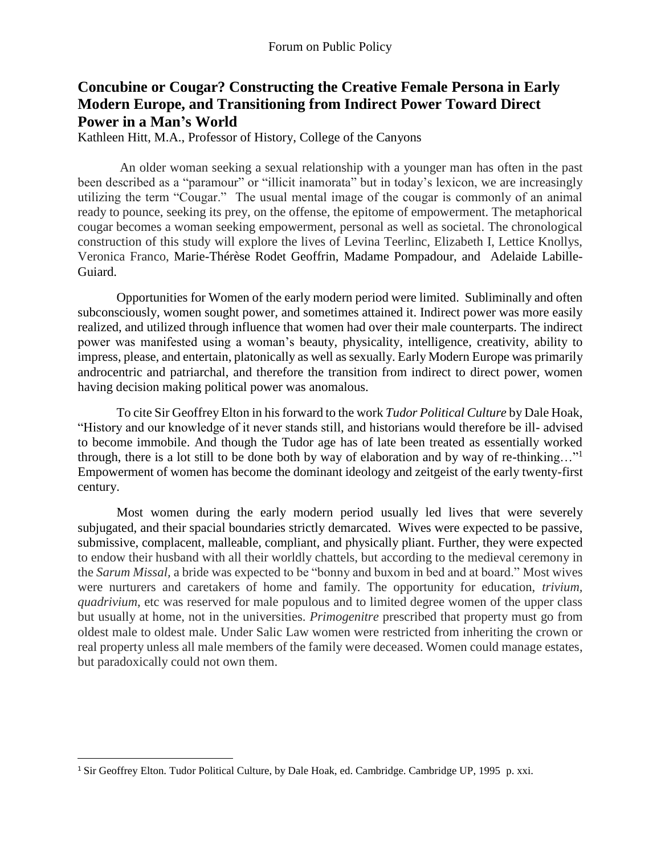# **Concubine or Cougar? Constructing the Creative Female Persona in Early Modern Europe, and Transitioning from Indirect Power Toward Direct Power in a Man's World**

Kathleen Hitt, M.A., Professor of History, College of the Canyons

An older woman seeking a sexual relationship with a younger man has often in the past been described as a "paramour" or "illicit inamorata" but in today's lexicon, we are increasingly utilizing the term "Cougar." The usual mental image of the cougar is commonly of an animal ready to pounce, seeking its prey, on the offense, the epitome of empowerment. The metaphorical cougar becomes a woman seeking empowerment, personal as well as societal. The chronological construction of this study will explore the lives of Levina Teerlinc, Elizabeth I, Lettice Knollys, Veronica Franco, Marie-Thérèse Rodet Geoffrin, Madame Pompadour, and Adelaide Labille-Guiard.

Opportunities for Women of the early modern period were limited. Subliminally and often subconsciously, women sought power, and sometimes attained it. Indirect power was more easily realized, and utilized through influence that women had over their male counterparts. The indirect power was manifested using a woman's beauty, physicality, intelligence, creativity, ability to impress, please, and entertain, platonically as well as sexually. Early Modern Europe was primarily androcentric and patriarchal, and therefore the transition from indirect to direct power, women having decision making political power was anomalous.

To cite Sir Geoffrey Elton in his forward to the work *Tudor Political Culture* by Dale Hoak, "History and our knowledge of it never stands still, and historians would therefore be ill- advised to become immobile. And though the Tudor age has of late been treated as essentially worked through, there is a lot still to be done both by way of elaboration and by way of re-thinking…"<sup>1</sup> Empowerment of women has become the dominant ideology and zeitgeist of the early twenty-first century.

Most women during the early modern period usually led lives that were severely subjugated, and their spacial boundaries strictly demarcated. Wives were expected to be passive, submissive, complacent, malleable, compliant, and physically pliant. Further, they were expected to endow their husband with all their worldly chattels, but according to the medieval ceremony in the *Sarum Missal,* a bride was expected to be "bonny and buxom in bed and at board." Most wives were nurturers and caretakers of home and family. The opportunity for education, *trivium, quadrivium*, etc was reserved for male populous and to limited degree women of the upper class but usually at home, not in the universities. *Primogenitre* prescribed that property must go from oldest male to oldest male. Under Salic Law women were restricted from inheriting the crown or real property unless all male members of the family were deceased. Women could manage estates, but paradoxically could not own them.

 $\overline{\phantom{a}}$ 

<sup>1</sup> Sir Geoffrey Elton. Tudor Political Culture, by Dale Hoak, ed. Cambridge. Cambridge UP, 1995 p. xxi.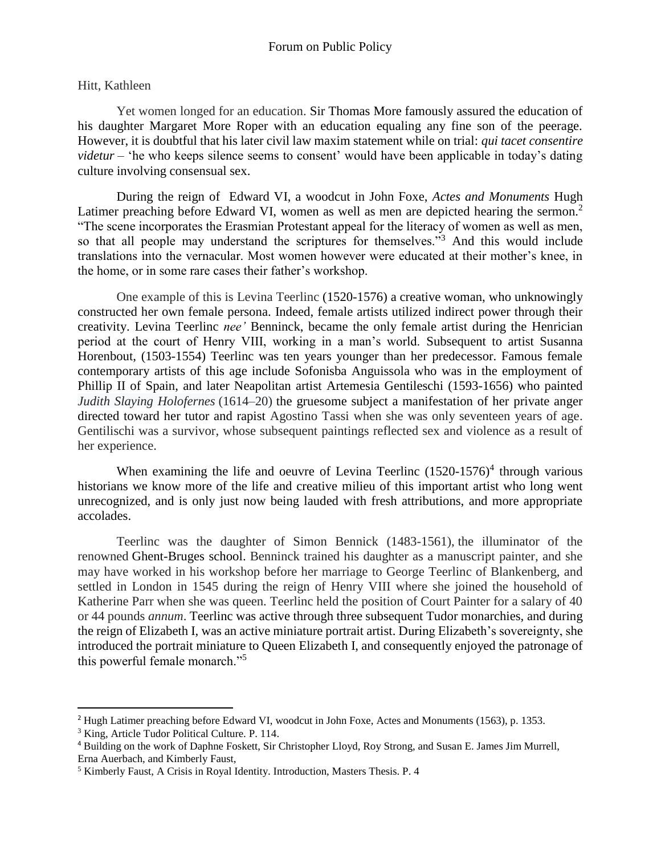#### Hitt, Kathleen

Yet women longed for an education. Sir Thomas More famously assured the education of his daughter Margaret More Roper with an education equaling any fine son of the peerage. However, it is doubtful that his later civil law maxim statement while on trial: *qui tacet consentire videtur* – 'he who keeps silence seems to consent' would have been applicable in today's dating culture involving consensual sex.

During the reign of Edward VI, a woodcut in John Foxe, *Actes and Monuments* Hugh Latimer preaching before Edward VI, women as well as men are depicted hearing the sermon.<sup>2</sup> "The scene incorporates the Erasmian Protestant appeal for the literacy of women as well as men, so that all people may understand the scriptures for themselves.<sup> $3\overline{3}$ </sup> And this would include translations into the vernacular. Most women however were educated at their mother's knee, in the home, or in some rare cases their father's workshop.

One example of this is Levina Teerlinc (1520-1576) a creative woman, who unknowingly constructed her own female persona. Indeed, female artists utilized indirect power through their creativity. Levina Teerlinc *nee'* Benninck, became the only female artist during the Henrician period at the court of Henry VIII, working in a man's world. Subsequent to artist Susanna Horenbout, (1503-1554) Teerlinc was ten years younger than her predecessor. Famous female contemporary artists of this age include Sofonisba Anguissola who was in the employment of Phillip II of Spain, and later Neapolitan artist Artemesia Gentileschi (1593-1656) who painted *Judith Slaying Holofernes* (1614–20) the gruesome subject a manifestation of her private anger directed toward her tutor and rapist Agostino Tassi when she was only seventeen years of age. Gentilischi was a survivor, whose subsequent paintings reflected sex and violence as a result of her experience.

When examining the life and oeuvre of Levina Teerlinc  $(1520-1576)^4$  through various historians we know more of the life and creative milieu of this important artist who long went unrecognized, and is only just now being lauded with fresh attributions, and more appropriate accolades.

Teerlinc was the daughter of Simon Bennick (1483-1561), the illuminator of the renowned [Ghent-Bruges school.](https://en.wikipedia.org/wiki/Ghent-Bruges_school) Benninck trained his daughter as a manuscript painter, and she may have worked in his workshop before her marriage to George Teerlinc of Blankenberg, and settled in London in 1545 during the reign of Henry VIII where she joined the household of Katherine Parr when she was queen. Teerlinc held the position of Court Painter for a salary of 40 or 44 pounds *annum*. Teerlinc was active through three subsequent Tudor monarchies, and during the reign of Elizabeth I, was an active miniature portrait artist. During Elizabeth's sovereignty, she introduced the portrait miniature to Queen Elizabeth I, and consequently enjoyed the patronage of this powerful female monarch."<sup>5</sup>

 $\overline{\phantom{a}}$ 

<sup>2</sup> Hugh Latimer preaching before Edward VI, woodcut in John Foxe, Actes and Monuments (1563), p. 1353.

<sup>3</sup> King, Article Tudor Political Culture. P. 114.

<sup>4</sup> Building on the work of Daphne Foskett, Sir Christopher Lloyd, Roy Strong, and Susan E. James Jim Murrell, Erna Auerbach, and Kimberly Faust,

<sup>5</sup> Kimberly Faust, A Crisis in Royal Identity. Introduction, Masters Thesis. P. 4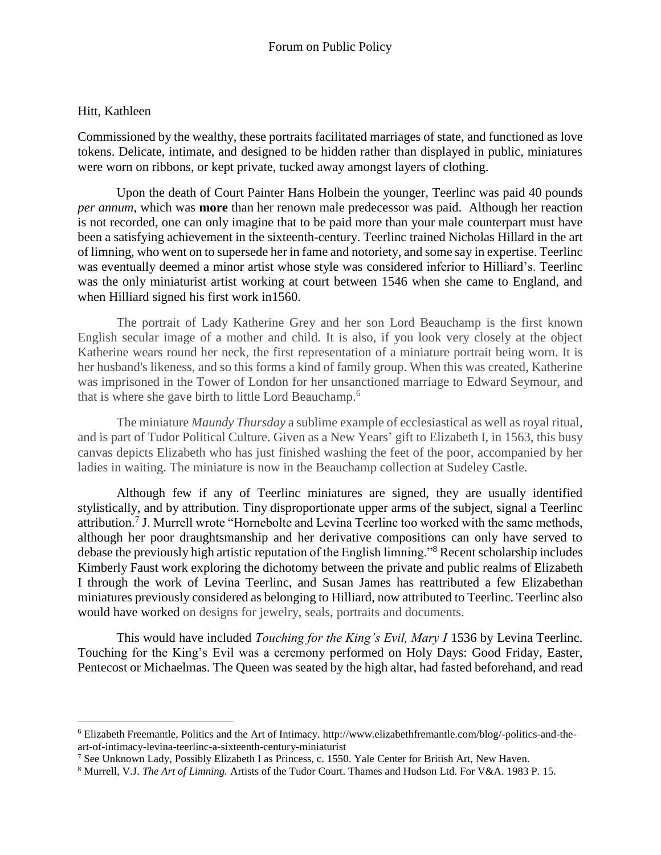# Hitt, Kathleen

 $\overline{a}$ 

Commissioned by the wealthy, these portraits facilitated marriages of state, and functioned as love tokens. Delicate, intimate, and designed to be hidden rather than displayed in public, miniatures were worn on ribbons, or kept private, tucked away amongst layers of clothing.

Upon the death of Court Painter Hans Holbein the younger, Teerlinc was paid 40 pounds *per annum*, which was **more** than her renown male predecessor was paid. Although her reaction is not recorded, one can only imagine that to be paid more than your male counterpart must have been a satisfying achievement in the sixteenth-century. Teerlinc trained Nicholas Hillard in the art of limning, who went on to supersede her in fame and notoriety, and some say in expertise. Teerlinc was eventually deemed a minor artist whose style was considered inferior to Hilliard's. Teerlinc was the only miniaturist artist working at court between 1546 when she came to England, and when Hilliard signed his first work in1560.

The portrait of Lady Katherine Grey and her son Lord Beauchamp is the first known English secular image of a mother and child. It is also, if you look very closely at the object Katherine wears round her neck, the first representation of a miniature portrait being worn. It is her husband's likeness, and so this forms a kind of family group. When this was created, Katherine was imprisoned in the Tower of London for her unsanctioned marriage to Edward Seymour, and that is where she gave birth to little Lord Beauchamp.<sup>6</sup>

The miniature *Maundy Thursday* a sublime example of ecclesiastical as well as royal ritual, and is part of Tudor Political Culture. Given as a New Years' gift to Elizabeth I, in 1563, this busy canvas depicts Elizabeth who has just finished washing the feet of the poor, accompanied by her ladies in waiting. The miniature is now in the Beauchamp collection at Sudeley Castle.

Although few if any of Teerlinc miniatures are signed, they are usually identified stylistically, and by attribution. Tiny disproportionate upper arms of the subject, signal a Teerlinc attribution.<sup>7</sup> J. Murrell wrote "Hornebolte and Levina Teerlinc too worked with the same methods, although her poor draughtsmanship and her derivative compositions can only have served to debase the previously high artistic reputation of the English limning."<sup>8</sup> Recent scholarship includes Kimberly Faust work exploring the dichotomy between the private and public realms of Elizabeth I through the work of Levina Teerlinc, and Susan James has reattributed a few Elizabethan miniatures previously considered as belonging to Hilliard, now attributed to Teerlinc. Teerlinc also would have worked on designs for jewelry, seals, portraits and documents.

This would have included *Touching for the King's Evil, Mary I* 1536 by Levina Teerlinc. Touching for the King's Evil was a ceremony performed on Holy Days: Good Friday, Easter, Pentecost or Michaelmas. The Queen was seated by the high altar, had fasted beforehand, and read

<sup>6</sup> Elizabeth Freemantle, Politics and the Art of Intimacy. http://www.elizabethfremantle.com/blog/-politics-and-theart-of-intimacy-levina-teerlinc-a-sixteenth-century-miniaturist

<sup>&</sup>lt;sup>7</sup> See Unknown Lady, Possibly Elizabeth I as Princess, c. 1550. Yale Center for British Art, New Haven.

<sup>8</sup> Murrell, V.J. *The Art of Limning.* Artists of the Tudor Court. Thames and Hudson Ltd. For V&A. 1983 P. 15.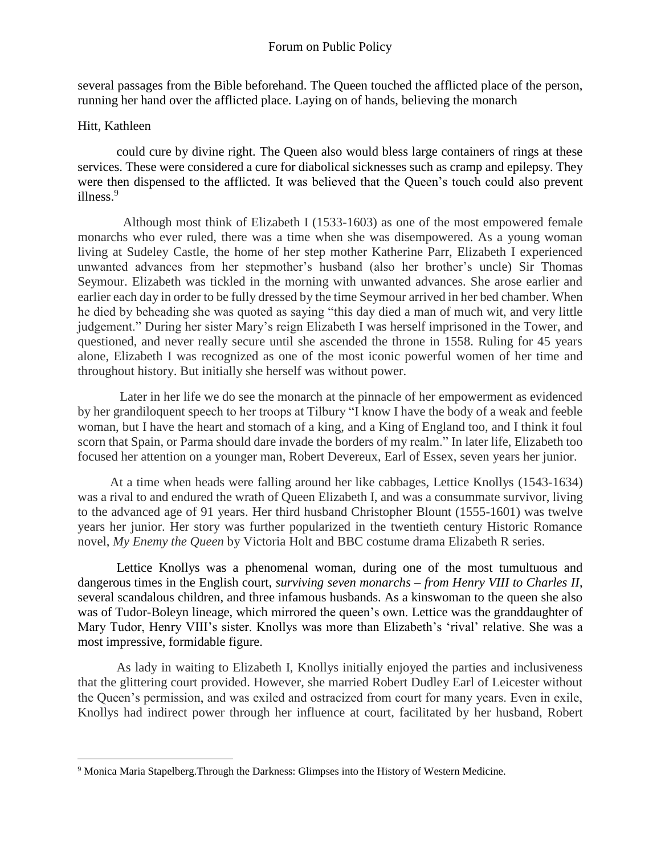several passages from the Bible beforehand. The Queen touched the afflicted place of the person, running her hand over the afflicted place. Laying on of hands, believing the monarch

# Hitt, Kathleen

 $\overline{\phantom{a}}$ 

could cure by divine right. The Queen also would bless large containers of rings at these services. These were considered a cure for diabolical sicknesses such as cramp and epilepsy. They were then dispensed to the afflicted. It was believed that the Queen's touch could also prevent illness.<sup>9</sup>

 Although most think of Elizabeth I (1533-1603) as one of the most empowered female monarchs who ever ruled, there was a time when she was disempowered. As a young woman living at Sudeley Castle, the home of her step mother Katherine Parr, Elizabeth I experienced unwanted advances from her stepmother's husband (also her brother's uncle) Sir Thomas Seymour. Elizabeth was tickled in the morning with unwanted advances. She arose earlier and earlier each day in order to be fully dressed by the time Seymour arrived in her bed chamber. When he died by beheading she was quoted as saying "this day died a man of much wit, and very little judgement." During her sister Mary's reign Elizabeth I was herself imprisoned in the Tower, and questioned, and never really secure until she ascended the throne in 1558. Ruling for 45 years alone, Elizabeth I was recognized as one of the most iconic powerful women of her time and throughout history. But initially she herself was without power.

 Later in her life we do see the monarch at the pinnacle of her empowerment as evidenced by her grandiloquent speech to her troops at Tilbury "I know I have the body of a weak and feeble woman, but I have the heart and stomach of a king, and a King of England too, and I think it foul scorn that Spain, or Parma should dare invade the borders of my realm." In later life, Elizabeth too focused her attention on a younger man, Robert Devereux, Earl of Essex, seven years her junior.

 At a time when heads were falling around her like cabbages, Lettice Knollys (1543-1634) was a rival to and endured the wrath of Queen Elizabeth I, and was a consummate survivor, living to the advanced age of 91 years. Her third husband Christopher Blount (1555-1601) was twelve years her junior. Her story was further popularized in the twentieth century Historic Romance novel, *My Enemy the Queen* by Victoria Holt and BBC costume drama Elizabeth R series.

Lettice Knollys was a phenomenal woman, during one of the most tumultuous and dangerous times in the English court, *surviving seven monarchs – from Henry VIII to Charles II*, several scandalous children, and three infamous husbands. As a kinswoman to the queen she also was of Tudor-Boleyn lineage, which mirrored the queen's own. Lettice was the granddaughter of Mary Tudor, Henry VIII's sister. Knollys was more than Elizabeth's 'rival' relative. She was a most impressive, formidable figure.

As lady in waiting to Elizabeth I, Knollys initially enjoyed the parties and inclusiveness that the glittering court provided. However, she married Robert Dudley Earl of Leicester without the Queen's permission, and was exiled and ostracized from court for many years. Even in exile, Knollys had indirect power through her influence at court, facilitated by her husband, Robert

<sup>9</sup> Monica Maria Stapelberg.Through the Darkness: Glimpses into the History of Western Medicine.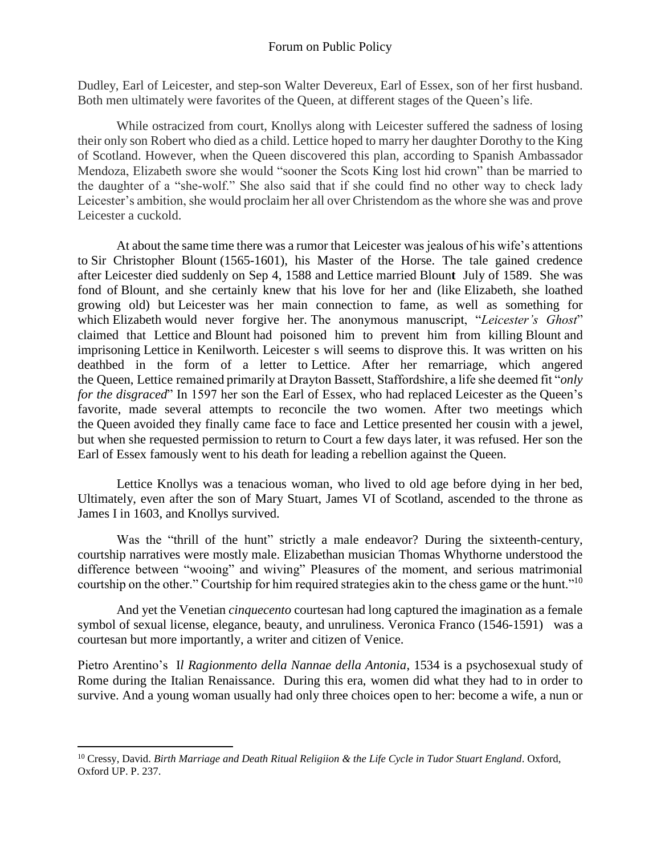Dudley, Earl of Leicester, and step-son Walter Devereux, Earl of Essex, son of her first husband. Both men ultimately were favorites of the Queen, at different stages of the Queen's life.

While ostracized from court, Knollys along with Leicester suffered the sadness of losing their only son Robert who died as a child. Lettice hoped to marry her daughter Dorothy to the King of Scotland. However, when the Queen discovered this plan, according to Spanish Ambassador Mendoza, Elizabeth swore she would "sooner the Scots King lost hid crown" than be married to the daughter of a "she-wolf." She also said that if she could find no other way to check lady Leicester's ambition, she would proclaim her all over Christendom as the whore she was and prove Leicester a cuckold.

At about the same time there was a rumor that Leicester was jealous of his wife's attentions to Sir Christopher Blount (1565-1601), his Master of the Horse. The tale gained credence after Leicester died suddenly on Sep 4, 1588 and Lettice married Bloun**t** July of 1589. She was fond of Blount, and she certainly knew that his love for her and (like Elizabeth, she loathed growing old) but Leicester was her main connection to fame, as well as something for which Elizabeth would never forgive her. The anonymous manuscript, "*Leicester's Ghost*" claimed that Lettice and Blount had poisoned him to prevent him from killing Blount and imprisoning Lettice in Kenilworth. Leicester s will seems to disprove this. It was written on his deathbed in the form of a letter to Lettice. After her remarriage, which angered the Queen, Lettice remained primarily at Drayton Bassett, Staffordshire, a life she deemed fit "*only for the disgraced*" In 1597 her son the Earl of Essex, who had replaced Leicester as the Queen's favorite, made several attempts to reconcile the two women. After two meetings which the Queen avoided they finally came face to face and Lettice presented her cousin with a jewel, but when she requested permission to return to Court a few days later, it was refused. Her son the Earl of Essex famously went to his death for leading a rebellion against the Queen.

 Lettice Knollys was a tenacious woman, who lived to old age before dying in her bed, Ultimately, even after the son of Mary Stuart, James VI of Scotland, ascended to the throne as James I in 1603, and Knollys survived.

Was the "thrill of the hunt" strictly a male endeavor? During the sixteenth-century, courtship narratives were mostly male. Elizabethan musician Thomas Whythorne understood the difference between "wooing" and wiving" Pleasures of the moment, and serious matrimonial courtship on the other." Courtship for him required strategies akin to the chess game or the hunt."<sup>10</sup>

And yet the Venetian *cinquecento* courtesan had long captured the imagination as a female symbol of sexual license, elegance, beauty, and unruliness. Veronica Franco (1546-1591) was a courtesan but more importantly, a writer and citizen of Venice.

Pietro Arentino's I*l Ragionmento della Nannae della Antonia*, 1534 is a psychosexual study of Rome during the Italian Renaissance. During this era, women did what they had to in order to survive. And a young woman usually had only three choices open to her: become a wife, a nun or

 $\overline{a}$ 

<sup>&</sup>lt;sup>10</sup> Cressy, David. *Birth Marriage and Death Ritual Religiion & the Life Cycle in Tudor Stuart England. Oxford,* Oxford UP. P. 237.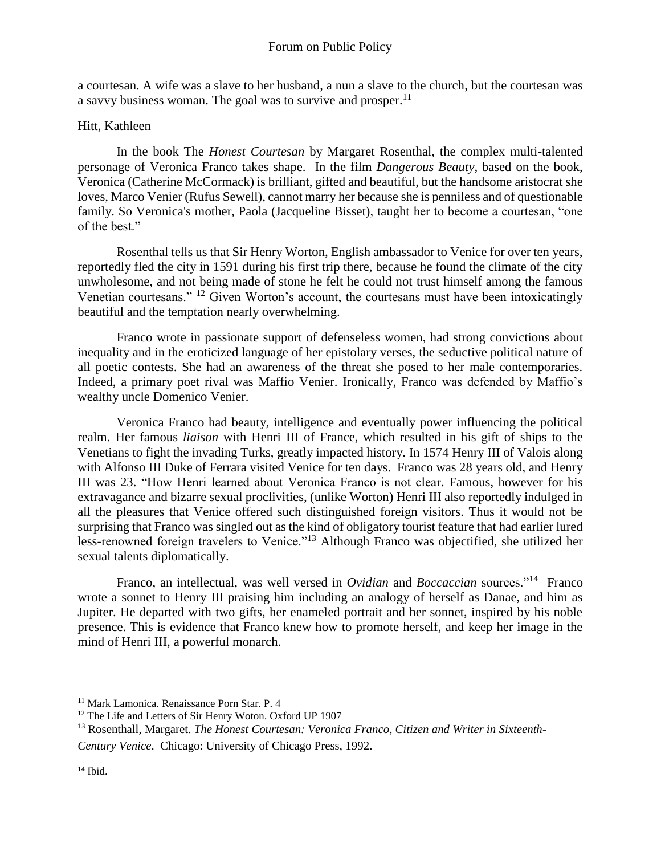a courtesan. A wife was a slave to her husband, a nun a slave to the church, but the courtesan was a savvy business woman. The goal was to survive and prosper.<sup>11</sup>

#### Hitt, Kathleen

In the book The *Honest Courtesan* by Margaret Rosenthal, the complex multi-talented personage of Veronica Franco takes shape. In the film *Dangerous Beauty*, based on the book, Veronica (Catherine McCormack) is brilliant, gifted and beautiful, but the handsome aristocrat she loves, Marco Venier (Rufus Sewell), cannot marry her because she is penniless and of questionable family. So Veronica's mother, Paola (Jacqueline Bisset), taught her to become a courtesan, "one of the best."

Rosenthal tells us that Sir Henry Worton, English ambassador to Venice for over ten years, reportedly fled the city in 1591 during his first trip there, because he found the climate of the city unwholesome, and not being made of stone he felt he could not trust himself among the famous Venetian courtesans." <sup>12</sup> Given Worton's account, the courtesans must have been intoxicatingly beautiful and the temptation nearly overwhelming.

Franco wrote in passionate support of defenseless women, had strong convictions about inequality and in the eroticized language of her epistolary verses, the seductive political nature of all poetic contests. She had an awareness of the threat she posed to her male contemporaries. Indeed, a primary poet rival was Maffio Venier. Ironically, Franco was defended by Maffio's wealthy uncle Domenico Venier.

Veronica Franco had beauty, intelligence and eventually power influencing the political realm. Her famous *liaison* with Henri III of France, which resulted in his gift of ships to the Venetians to fight the invading Turks, greatly impacted history. In 1574 Henry III of Valois along with Alfonso III Duke of Ferrara visited Venice for ten days. Franco was 28 years old, and Henry III was 23. "How Henri learned about Veronica Franco is not clear. Famous, however for his extravagance and bizarre sexual proclivities, (unlike Worton) Henri III also reportedly indulged in all the pleasures that Venice offered such distinguished foreign visitors. Thus it would not be surprising that Franco was singled out as the kind of obligatory tourist feature that had earlier lured less-renowned foreign travelers to Venice."<sup>13</sup> Although Franco was objectified, she utilized her sexual talents diplomatically.

Franco, an intellectual, was well versed in *Ovidian* and *Boccaccian* sources."<sup>14</sup> Franco wrote a sonnet to Henry III praising him including an analogy of herself as Danae, and him as Jupiter. He departed with two gifts, her enameled portrait and her sonnet, inspired by his noble presence. This is evidence that Franco knew how to promote herself, and keep her image in the mind of Henri III, a powerful monarch.

 $\overline{\phantom{a}}$ 

<sup>11</sup> Mark Lamonica. Renaissance Porn Star. P. 4

<sup>&</sup>lt;sup>12</sup> The Life and Letters of Sir Henry Woton. Oxford UP 1907

<sup>13</sup> Rosenthall, Margaret. *The Honest Courtesan: Veronica Franco, Citizen and Writer in Sixteenth-*

*Century Venice*. Chicago: University of Chicago Press, 1992.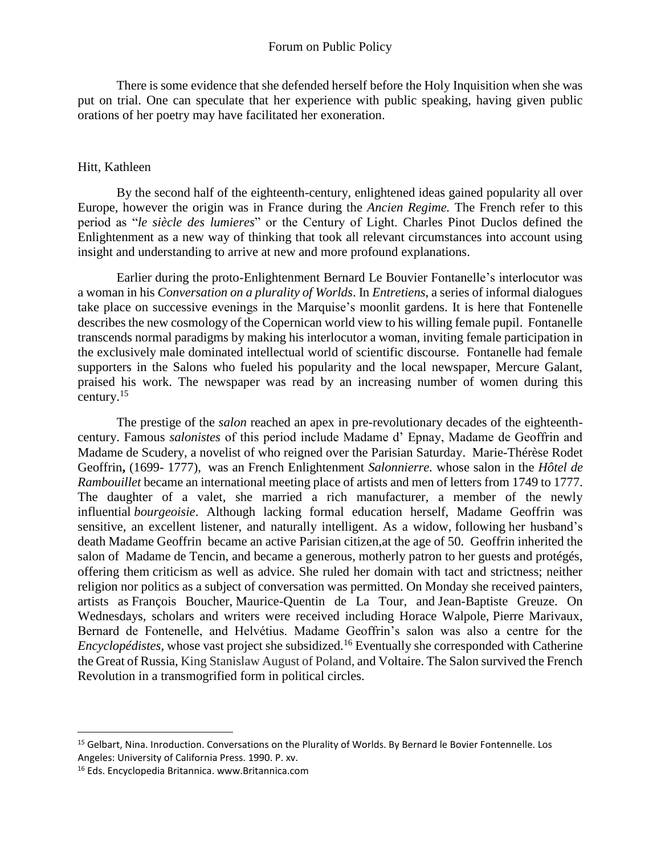There is some evidence that she defended herself before the Holy Inquisition when she was put on trial. One can speculate that her experience with public speaking, having given public orations of her poetry may have facilitated her exoneration.

# Hitt, Kathleen

By the second half of the eighteenth-century, enlightened ideas gained popularity all over Europe, however the origin was in France during the *Ancien Regime.* The French refer to this period as "*le siècle des lumieres*" or the Century of Light. Charles Pinot Duclos defined the Enlightenment as a new way of thinking that took all relevant circumstances into account using insight and understanding to arrive at new and more profound explanations.

Earlier during the proto-Enlightenment Bernard Le Bouvier Fontanelle's interlocutor was a woman in his *Conversation on a plurality of Worlds*. In *Entretiens*, a series of informal dialogues take place on successive evenings in the Marquise's moonlit gardens. It is here that Fontenelle describes the new cosmology of the Copernican world view to his willing female pupil. Fontanelle transcends normal paradigms by making his interlocutor a woman, inviting female participation in the exclusively male dominated intellectual world of scientific discourse. Fontanelle had female supporters in the Salons who fueled his popularity and the local newspaper, Mercure Galant, praised his work. The newspaper was read by an increasing number of women during this century.<sup>15</sup>

The prestige of the *salon* reached an apex in pre-revolutionary decades of the eighteenthcentury. Famous *salonistes* of this period include Madame d' Epnay, Madame de Geoffrin and Madame de Scudery, a novelist of who reigned over the Parisian Saturday. Marie-Thérèse Rodet Geoffrin**,** (1699- 1777), was an French Enlightenment *Salonnierre.* whose salon in the *Hôtel de Rambouillet* became an international meeting place of artists and men of letters from 1749 to 1777. The daughter of a valet, she married a rich manufacturer, a member of the newly influential *bourgeoisie*. Although lacking formal education herself, Madame Geoffrin was sensitive, an excellent listener, and naturally intelligent. As a widow, following her husband's death Madame Geoffrin became an active Parisian citizen,at the age of 50. Geoffrin inherited the salon of Madame de Tencin, and became a generous, motherly patron to her guests and protégés, offering them criticism as well as advice. She ruled her domain with tact and strictness; neither religion nor politics as a subject of conversation was permitted. On Monday she received painters, artists as François Boucher, Maurice-Quentin de La Tour, and Jean-Baptiste Greuze. On Wednesdays, scholars and writers were received including Horace Walpole, Pierre Marivaux, Bernard de Fontenelle, and Helvétius. Madame Geoffrin's salon was also a centre for the *Encyclopédistes*, whose vast project she subsidized.<sup>16</sup> Eventually she corresponded with Catherine the Great of Russia, King Stanislaw August of Poland, and Voltaire. The Salon survived the French Revolution in a transmogrified form in political circles.

 $\overline{a}$ 

<sup>&</sup>lt;sup>15</sup> Gelbart, Nina. Inroduction. Conversations on the Plurality of Worlds. By Bernard le Bovier Fontennelle. Los Angeles: University of California Press. 1990. P. xv.

<sup>16</sup> Eds. Encyclopedia Britannica. www.Britannica.com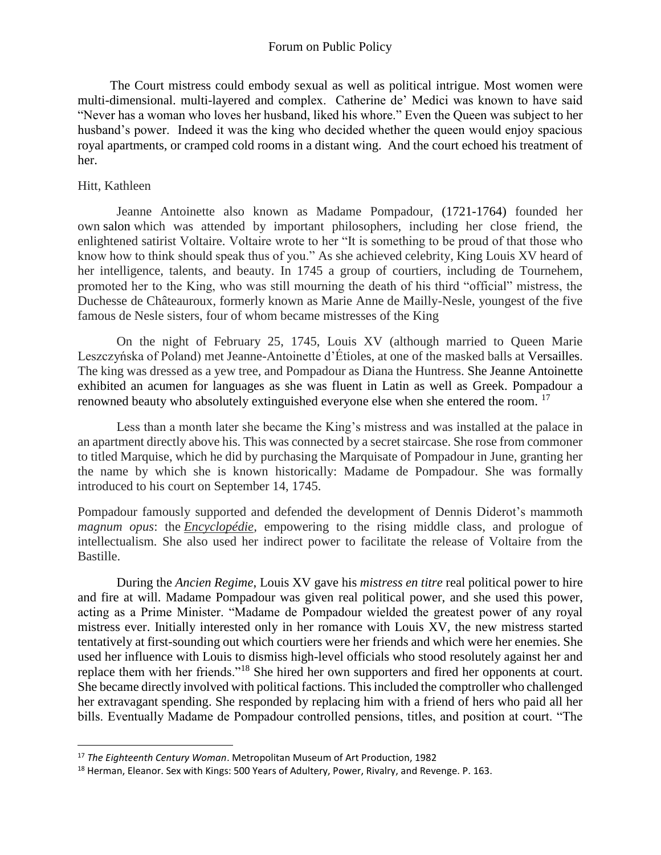The Court mistress could embody sexual as well as political intrigue. Most women were multi-dimensional. multi-layered and complex. Catherine de' Medici was known to have said "Never has a woman who loves her husband, liked his whore." Even the Queen was subject to her husband's power. Indeed it was the king who decided whether the queen would enjoy spacious royal apartments, or cramped cold rooms in a distant wing. And the court echoed his treatment of her.

#### Hitt, Kathleen

 $\overline{\phantom{a}}$ 

Jeanne Antoinette also known as Madame Pompadour, (1721-1764) founded her own salon which was attended by important philosophers, including her close friend, the enlightened satirist Voltaire. Voltaire wrote to her "It is something to be proud of that those who know how to think should speak thus of you." As she achieved celebrity, King Louis XV heard of her intelligence, talents, and beauty. In 1745 a group of courtiers, including de Tournehem, promoted her to the King, who was still mourning the death of his third "official" mistress, the Duchesse de Châteauroux, formerly known as Marie Anne de Mailly-Nesle, youngest of the five famous de Nesle sisters, four of whom became mistresses of the King

On the night of February 25, 1745, Louis XV (although married to Queen Marie Leszczyńska of Poland) met Jeanne-Antoinette d'Étioles, at one of the masked balls at Versailles. The king was dressed as a yew tree, and Pompadour as Diana the Huntress. She Jeanne Antoinette exhibited an acumen for languages as she was fluent in Latin as well as Greek. Pompadour a renowned beauty who absolutely extinguished everyone else when she entered the room.<sup>17</sup>

Less than a month later she became the King's mistress and was installed at the palace in an apartment directly above his. This was connected by a secret staircase. She rose from commoner to titled Marquise, which he did by purchasing the Marquisate of Pompadour in June, granting her the name by which she is known historically: Madame de Pompadour. She was formally introduced to his court on September 14, 1745.

Pompadour famously supported and defended the development of Dennis Diderot's mammoth *magnum opus*: the *Encyclopédie,* empowering to the rising middle class, and prologue of intellectualism*.* She also used her indirect power to facilitate the release of Voltaire from the Bastille.

During the *Ancien Regime*, Louis XV gave his *mistress en titre* real political power to hire and fire at will. Madame Pompadour was given real political power, and she used this power, acting as a Prime Minister. "Madame de Pompadour wielded the greatest power of any royal mistress ever. Initially interested only in her romance with Louis XV, the new mistress started tentatively at first-sounding out which courtiers were her friends and which were her enemies. She used her influence with Louis to dismiss high-level officials who stood resolutely against her and replace them with her friends."<sup>18</sup> She hired her own supporters and fired her opponents at court. She became directly involved with political factions. This included the comptroller who challenged her extravagant spending. She responded by replacing him with a friend of hers who paid all her bills. Eventually Madame de Pompadour controlled pensions, titles, and position at court. "The

<sup>17</sup> *The Eighteenth Century Woman*. Metropolitan Museum of Art Production, 1982

<sup>&</sup>lt;sup>18</sup> Herman, Eleanor. Sex with Kings: 500 Years of Adultery, Power, Rivalry, and Revenge. P. 163.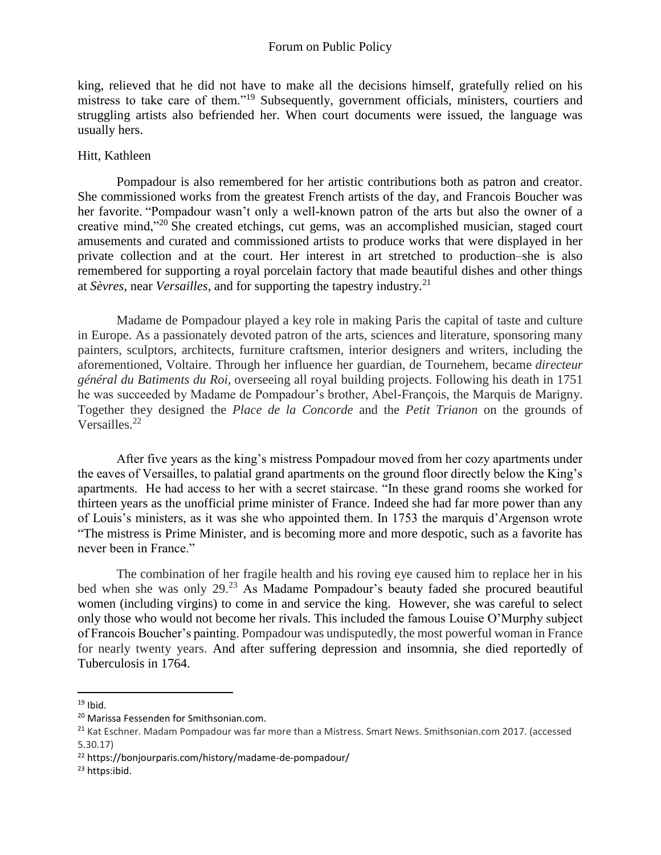king, relieved that he did not have to make all the decisions himself, gratefully relied on his mistress to take care of them."<sup>19</sup> Subsequently, government officials, ministers, courtiers and struggling artists also befriended her. When court documents were issued, the language was usually hers.

#### Hitt, Kathleen

Pompadour is also remembered for her artistic contributions both as patron and creator. She commissioned works from the greatest French artists of the day, and Francois Boucher was her favorite. "Pompadour wasn't only a well-known patron of the arts but also the owner of a creative mind,"<sup>20</sup> She created etchings, cut gems, was an accomplished musician, staged court amusements and curated and commissioned artists to produce works that were displayed in her private collection and at the court. Her interest in art stretched to production–she is also remembered for supporting a royal porcelain factory that made beautiful dishes and other things at *Sèvres*, near *Versailles*, and for supporting the tapestry industry.<sup>21</sup>

Madame de Pompadour played a key role in making Paris the capital of taste and culture in Europe. As a passionately devoted patron of the arts, sciences and literature, sponsoring many painters, sculptors, architects, furniture craftsmen, interior designers and writers, including the aforementioned, Voltaire. Through her influence her guardian, de Tournehem, became *directeur général du Batiments du Roi,* overseeing all royal building projects*.* Following his death in 1751 he was succeeded by Madame de Pompadour's brother, Abel-François, the Marquis de Marigny. Together they designed the *Place de la Concorde* and the *Petit Trianon* on the grounds of Versailles.<sup>22</sup>

After five years as the king's mistress Pompadour moved from her cozy apartments under the eaves of Versailles, to palatial grand apartments on the ground floor directly below the King's apartments. He had access to her with a secret staircase. "In these grand rooms she worked for thirteen years as the unofficial prime minister of France. Indeed she had far more power than any of Louis's ministers, as it was she who appointed them. In 1753 the marquis d'Argenson wrote "The mistress is Prime Minister, and is becoming more and more despotic, such as a favorite has never been in France."

The combination of her fragile health and his roving eye caused him to replace her in his bed when she was only 29.<sup>23</sup> As Madame Pompadour's beauty faded she procured beautiful women (including virgins) to come in and service the king. However, she was careful to select only those who would not become her rivals. This included the famous Louise O'Murphy subject of Francois Boucher's painting. Pompadour was undisputedly, the most powerful woman in France for nearly twenty years. And after suffering depression and insomnia, she died reportedly of Tuberculosis in 1764.

l

 $19$  Ibid.

<sup>20</sup> Marissa Fessenden for Smithsonian.com.

<sup>&</sup>lt;sup>21</sup> Kat Eschner. Madam Pompadour was far more than a Mistress. Smart News. Smithsonian.com 2017. (accessed 5.30.17)

<sup>22</sup> https://bonjourparis.com/history/madame-de-pompadour/

<sup>23</sup> https:ibid.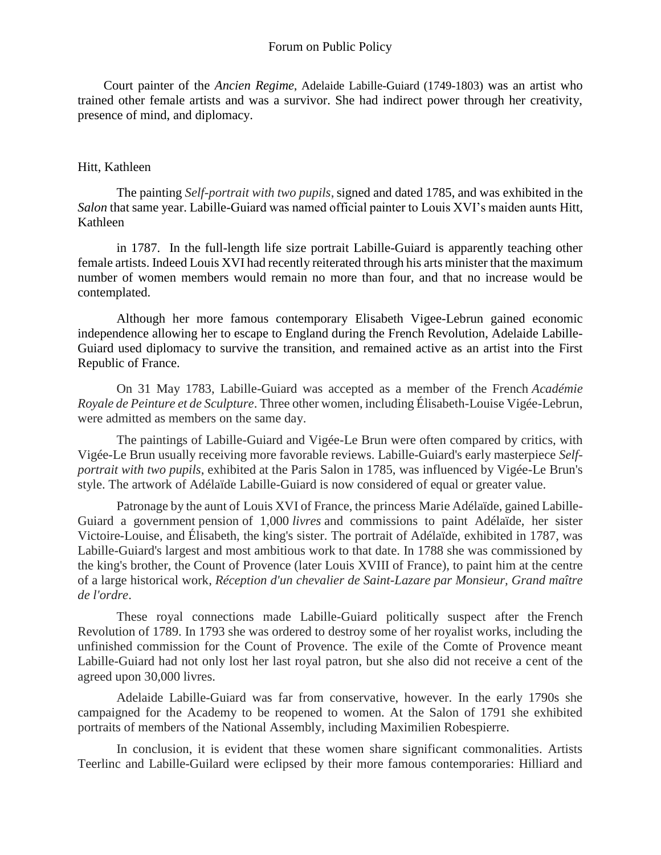Court painter of the *Ancien Regime*, Adelaide Labille-Guiard (1749-1803) was an artist who trained other female artists and was a survivor. She had indirect power through her creativity, presence of mind, and diplomacy.

#### Hitt, Kathleen

The painting *Self-portrait with two pupils*, signed and dated 1785, and was exhibited in the *Salon* that same year. Labille-Guiard was named official painter to Louis XVI's maiden aunts Hitt, Kathleen

in 1787. In the full-length life size portrait Labille-Guiard is apparently teaching other female artists. Indeed Louis XVI had recently reiterated through his arts minister that the maximum number of women members would remain no more than four, and that no increase would be contemplated.

Although her more famous contemporary Elisabeth Vigee-Lebrun gained economic independence allowing her to escape to England during the French Revolution, Adelaide Labille-Guiard used diplomacy to survive the transition, and remained active as an artist into the First Republic of France.

On 31 May 1783, Labille-Guiard was accepted as a member of the French *Académie Royale de Peinture et de Sculpture*. Three other women, including Élisabeth-Louise Vigée-Lebrun, were admitted as members on the same day.

The paintings of Labille-Guiard and Vigée-Le Brun were often compared by critics, with Vigée-Le Brun usually receiving more favorable reviews. Labille-Guiard's early masterpiece *Selfportrait with two pupils*, exhibited at the Paris Salon in 1785, was influenced by Vigée-Le Brun's style. The artwork of Adélaïde Labille-Guiard is now considered of equal or greater value.

Patronage by the aunt of Louis XVI of France, the princess Marie Adélaïde, gained Labille-Guiard a government pension of 1,000 *livres* and commissions to paint Adélaïde, her sister Victoire-Louise, and Élisabeth, the king's sister. The portrait of Adélaïde, exhibited in 1787, was Labille-Guiard's largest and most ambitious work to that date. In 1788 she was commissioned by the king's brother, the Count of Provence (later Louis XVIII of France), to paint him at the centre of a large historical work, *Réception d'un chevalier de Saint-Lazare par Monsieur, Grand maître de l'ordre*.

These royal connections made Labille-Guiard politically suspect after the French Revolution of 1789. In 1793 she was ordered to destroy some of her royalist works, including the unfinished commission for the Count of Provence. The exile of the Comte of Provence meant Labille-Guiard had not only lost her last royal patron, but she also did not receive a cent of the agreed upon 30,000 livres.

Adelaide Labille-Guiard was far from conservative, however. In the early 1790s she campaigned for the Academy to be reopened to women. At the Salon of 1791 she exhibited portraits of members of the National Assembly, including Maximilien Robespierre.

In conclusion, it is evident that these women share significant commonalities. Artists Teerlinc and Labille-Guilard were eclipsed by their more famous contemporaries: Hilliard and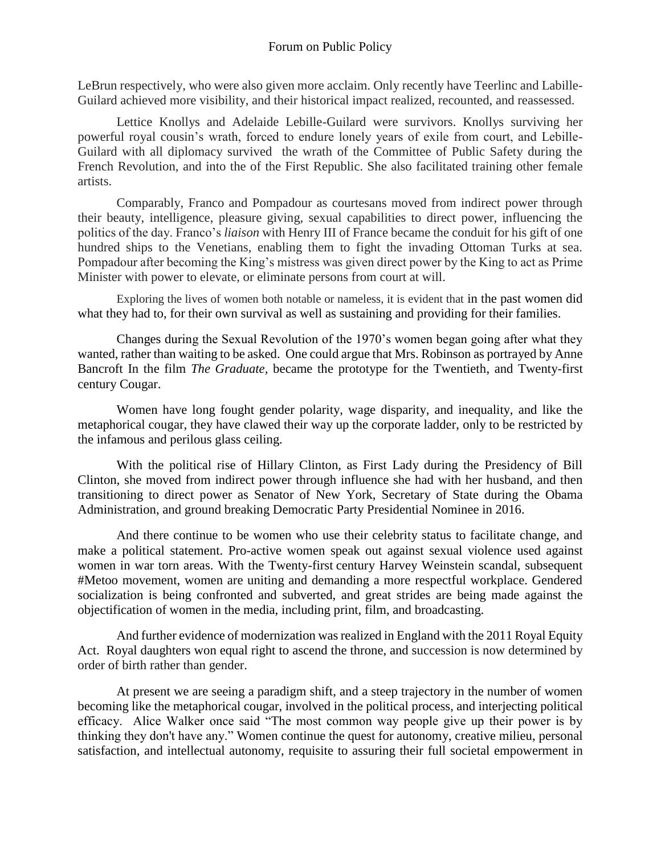LeBrun respectively, who were also given more acclaim. Only recently have Teerlinc and Labille-Guilard achieved more visibility, and their historical impact realized, recounted, and reassessed.

Lettice Knollys and Adelaide Lebille-Guilard were survivors. Knollys surviving her powerful royal cousin's wrath, forced to endure lonely years of exile from court, and Lebille-Guilard with all diplomacy survived the wrath of the Committee of Public Safety during the French Revolution, and into the of the First Republic. She also facilitated training other female artists.

Comparably, Franco and Pompadour as courtesans moved from indirect power through their beauty, intelligence, pleasure giving, sexual capabilities to direct power, influencing the politics of the day. Franco's *liaison* with Henry III of France became the conduit for his gift of one hundred ships to the Venetians, enabling them to fight the invading Ottoman Turks at sea. Pompadour after becoming the King's mistress was given direct power by the King to act as Prime Minister with power to elevate, or eliminate persons from court at will.

Exploring the lives of women both notable or nameless, it is evident that in the past women did what they had to, for their own survival as well as sustaining and providing for their families.

Changes during the Sexual Revolution of the 1970's women began going after what they wanted, rather than waiting to be asked. One could argue that Mrs. Robinson as portrayed by Anne Bancroft In the film *The Graduate,* became the prototype for the Twentieth, and Twenty-first century Cougar.

Women have long fought gender polarity, wage disparity, and inequality, and like the metaphorical cougar, they have clawed their way up the corporate ladder, only to be restricted by the infamous and perilous glass ceiling.

With the political rise of Hillary Clinton, as First Lady during the Presidency of Bill Clinton, she moved from indirect power through influence she had with her husband, and then transitioning to direct power as Senator of New York, Secretary of State during the Obama Administration, and ground breaking Democratic Party Presidential Nominee in 2016.

And there continue to be women who use their celebrity status to facilitate change, and make a political statement. Pro-active women speak out against sexual violence used against women in war torn areas. With the Twenty-first century Harvey Weinstein scandal, subsequent #Metoo movement, women are uniting and demanding a more respectful workplace. Gendered socialization is being confronted and subverted, and great strides are being made against the objectification of women in the media, including print, film, and broadcasting.

And further evidence of modernization was realized in England with the 2011 Royal Equity Act. Royal daughters won equal right to ascend the throne, and succession is now determined by order of birth rather than gender.

At present we are seeing a paradigm shift, and a steep trajectory in the number of women becoming like the metaphorical cougar, involved in the political process, and interjecting political efficacy. Alice Walker once said "The most common way people give up their power is by thinking they don't have any." Women continue the quest for autonomy, creative milieu, personal satisfaction, and intellectual autonomy, requisite to assuring their full societal empowerment in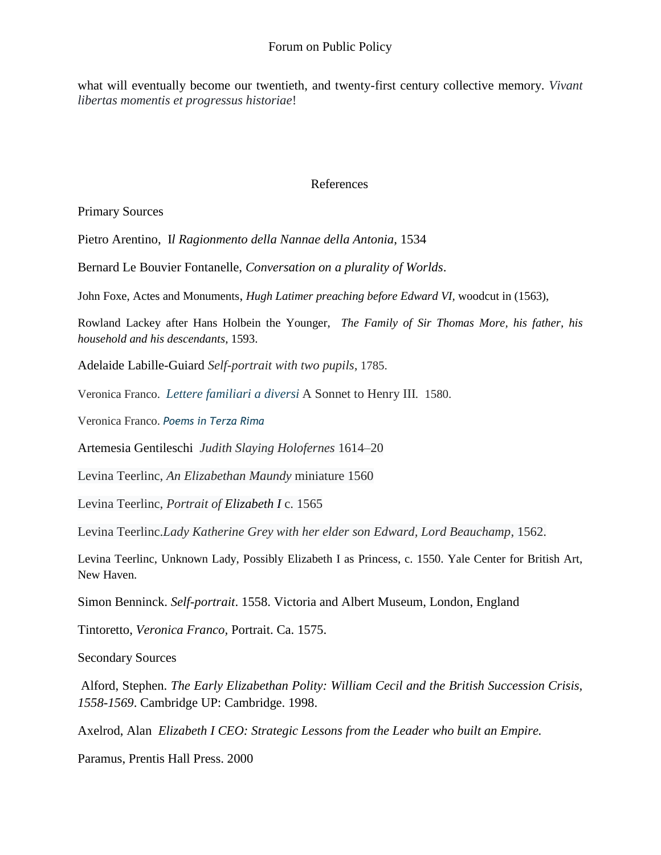what will eventually become our twentieth, and twenty-first century collective memory. *Vivant libertas momentis et progressus historiae*!

## References

Primary Sources

Pietro Arentino, I*l Ragionmento della Nannae della Antonia*, 1534

Bernard Le Bouvier Fontanelle, *Conversation on a plurality of Worlds*.

John Foxe, Actes and Monuments, *Hugh Latimer preaching before Edward VI,* woodcut in (1563),

Rowland Lackey after Hans Holbein the Younger, *The Family of Sir Thomas More, his father, his household and his descendants*, 1593.

Adelaide Labille-Guiard *Self-portrait with two pupils*, 1785.

Veronica Franco. *Lettere familiari a diversi* A Sonnet to Henry III*.* 1580.

Veronica Franco. *Poems in Terza Rima*

Artemesia Gentileschi *Judith Slaying Holofernes* 1614–20

Levina Teerlinc, *An Elizabethan Maundy* miniature 1560

Levina Teerlinc, *Portrait of Elizabeth I* c. 1565

Levina Teerlinc.*Lady Katherine Grey with her elder son Edward, Lord Beauchamp*, 1562.

Levina Teerlinc, Unknown Lady, Possibly Elizabeth I as Princess, c. 1550. Yale Center for British Art, New Haven.

Simon Benninck. *Self-portrait*. 1558. Victoria and Albert Museum, London, England

Tintoretto, *Veronica Franco,* Portrait. Ca. 1575.

Secondary Sources

Alford, Stephen. *The Early Elizabethan Polity: William Cecil and the British Succession Crisis, 1558-1569*. Cambridge UP: Cambridge. 1998.

Axelrod, Alan *Elizabeth I CEO: Strategic Lessons from the Leader who built an Empire.*

Paramus, Prentis Hall Press. 2000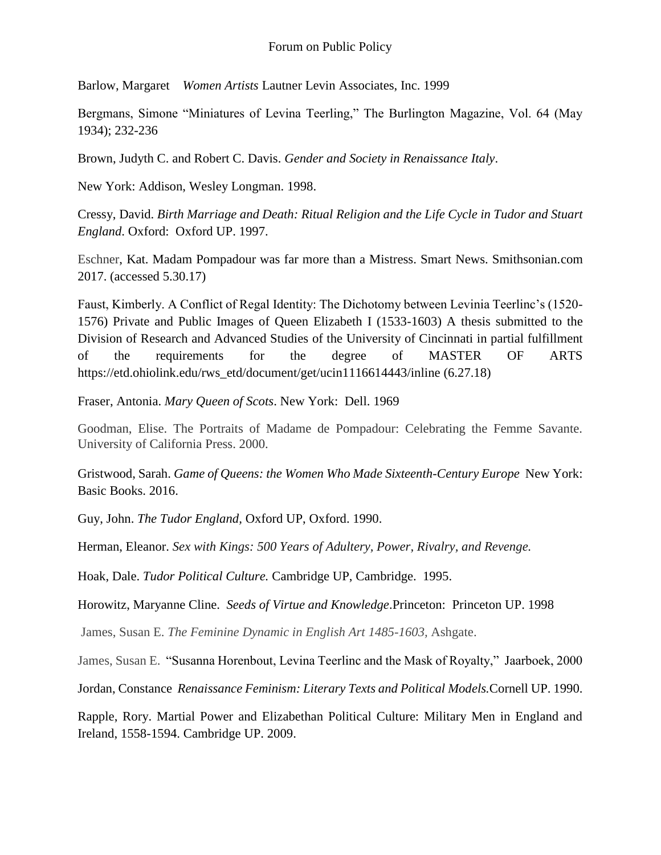Barlow, Margaret *Women Artists* Lautner Levin Associates, Inc. 1999

Bergmans, Simone "Miniatures of Levina Teerling," The Burlington Magazine, Vol. 64 (May 1934); 232-236

Brown, Judyth C. and Robert C. Davis. *Gender and Society in Renaissance Italy*.

New York: Addison, Wesley Longman. 1998.

Cressy, David. *Birth Marriage and Death: Ritual Religion and the Life Cycle in Tudor and Stuart England*. Oxford: Oxford UP. 1997.

Eschner, Kat. Madam Pompadour was far more than a Mistress. Smart News. Smithsonian.com 2017. (accessed 5.30.17)

Faust, Kimberly. A Conflict of Regal Identity: The Dichotomy between Levinia Teerlinc's (1520- 1576) Private and Public Images of Queen Elizabeth I (1533-1603) A thesis submitted to the Division of Research and Advanced Studies of the University of Cincinnati in partial fulfillment of the requirements for the degree of MASTER OF ARTS https://etd.ohiolink.edu/rws\_etd/document/get/ucin1116614443/inline (6.27.18)

Fraser, Antonia. *Mary Queen of Scots*. New York: Dell. 1969

Goodman, Elise. The Portraits of Madame de Pompadour: Celebrating the Femme Savante. University of California Press. 2000.

Gristwood, Sarah. *Game of Queens: the Women Who Made Sixteenth-Century Europe* New York: Basic Books. 2016.

Guy, John. *The Tudor England,* Oxford UP, Oxford. 1990.

Herman, Eleanor. *Sex with Kings: 500 Years of Adultery, Power, Rivalry, and Revenge.*

Hoak, Dale. *Tudor Political Culture.* Cambridge UP, Cambridge. 1995.

Horowitz, Maryanne Cline. *Seeds of Virtue and Knowledge*.Princeton: Princeton UP. 1998

James, Susan E. *The Feminine Dynamic in English Art 1485-1603,* Ashgate.

James, Susan E. "Susanna Horenbout, Levina Teerlinc and the Mask of Royalty," Jaarboek, 2000

Jordan, Constance *Renaissance Feminism: Literary Texts and Political Models.*Cornell UP. 1990.

Rapple, Rory. Martial Power and Elizabethan Political Culture: Military Men in England and Ireland, 1558-1594. Cambridge UP. 2009.